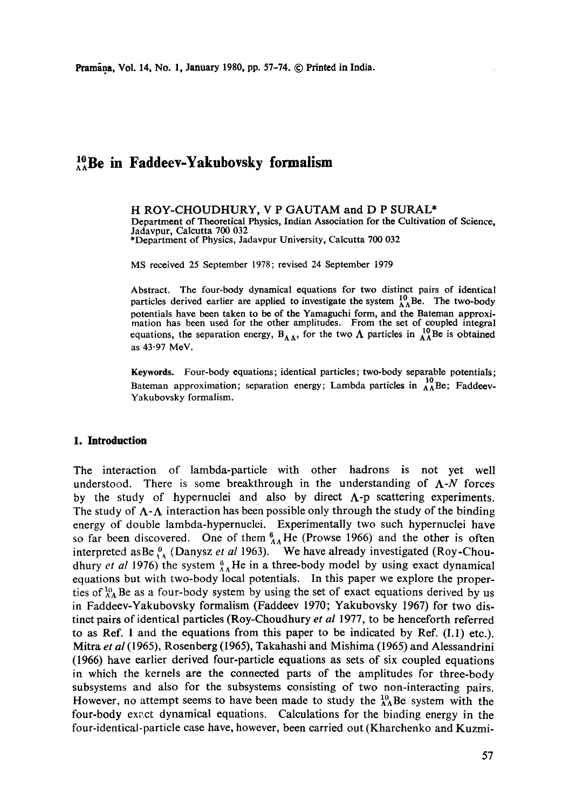# <sup>10</sup><sub>AA</sub>Be in Faddeev-Yakubovsky formalism

H ROY-CHOUDHURY, V P GAUTAM and D P SURAL\* **Department** of Theoretical Physics, Indian Association for the Cultivation of Science, Jadavpur, Calcutta 700 032 \*Department of Physics, Jadavpur University, Calcutta 700 032

MS received 25 September 1978; revised 24 September 1979

Abstract. The four-body dynamical equations for two distinct pairs of identical particles derived earlier are applied to investigate the system  $^{10}_{\Lambda\Lambda}$ Be. The two-body potentials have been taken to be of the Yamaguchi form, and the Bateman approximation has been used for the other amplitudes. From the set of coupled integral equations, the separation energy,  $B_{AA}$ , for the two  $\Lambda$  particles in  $A^{10}_{AA}$ Be is obtained as 43.97 MeV.

**Keywords.** Four-body equations; identical particles; two-body separable potentials; Bateman approximation; separation energy; Lambda particles in  $^{10}_{AA}$ Be; Faddeev-Yakubovsky formalism.

### **1. Introduction**

The interaction of lambda-particle with other hadrons is not yet well understood. There is some breakthrough in the understanding of  $\Lambda$ -N forces by the study of hypernuclei and also by direct  $\Lambda$ -p scattering experiments. The study of  $\Lambda$ - $\Lambda$  interaction has been possible only through the study of the binding energy of double lambda-hypernuclei. Experimentally two such hypernuclei have so far been discovered. One of them  $_{AA}^6$  He (Prowse 1966) and the other is often interpreted as Be  $_{4A}^{0}$  (Danysz *et al* 1963). We have already investigated (Roy-Choudhury *et al* 1976) the system  $\frac{6}{4}$ He in a three-body model by using exact dynamical equations but with two-body local potentials. In this paper we explore the properties of  $^{10}_{A_4}$  Be as a four-body system by using the set of exact equations derived by us in Faddeev-Yakubovsky formalism (Faddeev 1970; Yakubovsky 1967) for two distinct pairs of identical particles (Roy-Choudhury *et al* 1977, to be henceforth referred to as Ref. 1 and the equations from this paper to be indicated by Ref. (I.1) etc.). Mitra *et al* (1965), Rosenberg (1965), Takahashi and Mishima (1965) and Alessandrini (1966) have earlier derived four-particle equations as sets of six coupled equations in which the kernels are the connected parts of the amplitudes for three-body subsystems and also for the subsystems consisting of two non-interacting pairs. However, no attempt seems to have been made to study the  $^{10}_{AA}$ Be system with the four-body exact dynamical equations. Calculations for the binding energy in the four-identical-particle case have, however, been carried out (Kharchenko and **Kuzmi-**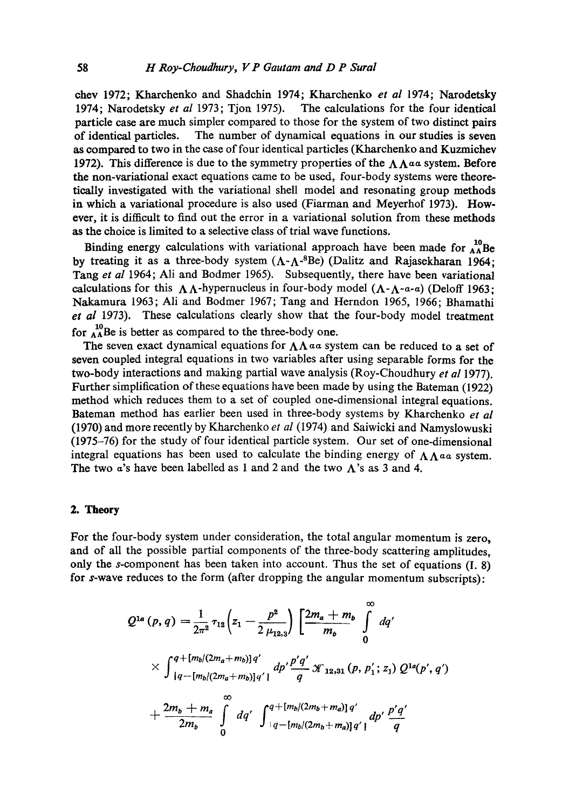chev 1972; Kharchenko and Shadehin 1974; Kharchenko *et al* 1974; Narodetsky 1974; Narodetsky *et al* 1973; Tjon 1975). The calculations for the four identical particle case are much simpler compared to those for the system of two distinct pairs of identical particles. The number of dynamical equations in our studies is seven **as** compared to two in the ease of four identical particles (Kharchenko and Kuzmichev 1972). This difference is due to the symmetry properties of the  $\Lambda \Lambda^{a}a$  system. Before the non-variational exact equations came to be used, four-body systems were theoretically investigated with the variational shell model and resonating group methods in which a variational procedure is also used (Fiarman and Meyerhof 1973). However, it is difficult to find out the error in a variational solution from these methods **as** the choice is limited to a selective class of trial wave functions.

Binding energy calculations with variational approach have been made for  $^{10}_{AA}$ Be by treating it as a three-body system  $(A-A<sup>8</sup>Be)$  (Dalitz and Rajasekharan 1964; Tang *et al* 1964; Ali and Bodmer 1965). Subsequently, there have been variational calculations for this  $\Lambda \Lambda$ -hypernucleus in four-body model  $(\Lambda - \Lambda - \alpha - \alpha)$  (Deloff 1963; Nakamura 1963; Ali and Bodmer 1967; Tang and Herndon 1965, 1966; Bhamathi *et al* 1973). These calculations clearly show that the four-body model treatment for  $^{10}_{AA}$ Be is better as compared to the three-body one.

The seven exact dynamical equations for  $\Lambda \Lambda a \alpha$  system can be reduced to a set of seven coupled integral equations in two variables after using separable forms for the two-body interactions and making partial wave analysis (Roy-Choudhury *et al* 1977). Further simplification of these equations have been made by using the Bateman (1922) method which reduces them to a set of coupled one-dimensional integral equations. Bateman method has earlier been used in three-body systems by Kharchenko *et al*  (1970) and more recently by Kharchenko *et al* (1974) and Saiwicki and Namyslowuski (1975-76) for the study of four identical particle system. Our set of one-dimensional integral equations has been used to calculate the binding energy of  $\Lambda \Lambda \alpha \alpha$  system. The two  $a$ 's have been labelled as 1 and 2 and the two  $\Lambda$ 's as 3 and 4.

#### **2. Theory**

For the four-body system under consideration, the total angular momentum is zero, and of all the possible partial components of the three-body scattering amplitudes, only the s-component has been taken into account. Thus the set of equations (L 8) for s-wave reduces to the form (after dropping the angular momentum subscripts):

$$
Q^{1a}(p,q) = \frac{1}{2\pi^2} \tau_{12} \left( z_1 - \frac{p^2}{2 \mu_{12,3}} \right) \left[ \frac{2m_a + m_b}{m_b} \int_0^{\infty} dq' \right]
$$
  
 
$$
\times \int_{[q- [m_b](2m_a + m_b)]q'}^{q+ [m_b](2m_a + m_b)]q'} \left\{ \frac{dp'}{q} \right\} \frac{q'}{y_{12,31}} (p, p'_1; z_1) Q^{1a}(p', q')
$$
  
 
$$
+ \frac{2m_b + m_a}{2m_b} \int_0^{\infty} dq' \int_{[q- [m_b](2m_b + m_a)]q'}^{q+ [m_b](2m_b + m_a)]q'} \left\{ \frac{p'q'}{q} \right\}
$$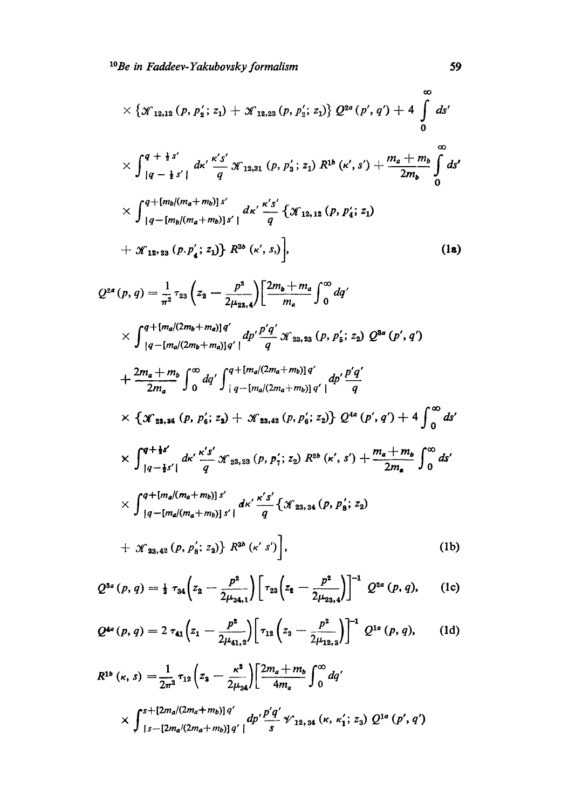$$
\times \{\mathcal{J}_{12,12}(p, p'_1; z_1) + \mathcal{J}_{12,23}(p, p'_2; z_1)\} Q^{2a}(p', q') + 4 \int_{0}^{\infty} ds'
$$
  
\n
$$
\times \int_{|q-\frac{1}{2}s'|}^{q+\frac{1}{2}s'} dx' \frac{\kappa' s'}{q} \mathcal{J}_{12,31}(p, p'_3; z_1) R^{1b}(\kappa', s') + \frac{m_a + m_b}{2m_b} \int_{0}^{\infty} ds'
$$
  
\n
$$
\times \int_{|q- [m_b|(m_a+m_b)]s'}^{q+ [m_b|(m_a+m_b)]s'} dx' \frac{\kappa' s'}{q} \{\mathcal{J}_{12,12}(p, p'_4; z_1)
$$
  
\n+  $\mathcal{J}_{12\cdot 23}(p, p'_4; z_1)\} R^{3b}(\kappa', s_1),$   
\n
$$
Q^{2a}(p, q) = \frac{1}{\pi^2} \tau_{23} \left(z_2 - \frac{p^2}{2\mu_{23,4}}\right) \left[\frac{2m_b + m_a}{m_a}\int_{0}^{\infty} dq'
$$
  
\n
$$
\times \int_{|q- [m_a|(2m_b+m_a)]q'}^{q+ [m_a|(2m_a+m_b)]q'} dp' \frac{p'q'}{q} \mathcal{J}_{23,23}(p, p'_5; z_2) Q^{3a}(p', q')
$$
  
\n+ 
$$
\frac{2m_a + m_b}{2m_a} \int_{0}^{\infty} dq' \int_{|q- [m_a|(2m_a+m_b)]q'}^{q+ [m_a|(2m_a+m_b)]q'} dp' \frac{p'q'}{q}
$$
  
\n
$$
\times \{\mathcal{J}_{23,24}(p, p'_6; z_2) + \mathcal{J}_{23,23}(p, p'_7; z_2) R^{2b}(\kappa', s') + \frac{m_a + m_b}{2m_a} \int_{0}^{\infty} ds'
$$
  
\n
$$
\times \int_{|q-1s'|}^{q+1rs'} dx' \frac{\kappa' s'}{q} \mathcal{J}_{23,23}(p, p'_7; z_2) R^{2b}(\kappa', s') + \frac{m_a + m_b}{2m_a} \int_{0}^{\infty} ds'
$$

$$
Q^{3a}(p,q) = \frac{1}{2} \tau_{34} \left( z_2 - \frac{p^2}{2\mu_{34,1}} \right) \left[ \tau_{23} \left( z_2 - \frac{p^2}{2\mu_{23,4}} \right) \right]^{-1} Q^{2a}(p,q), \quad \text{(1c)}
$$

$$
Q^{4a}(p,q) = 2 \tau_{41} \left(z_1 - \frac{p^2}{2\mu_{41,2}}\right) \left[\tau_{12} \left(z_2 - \frac{p^2}{2\mu_{12,3}}\right)\right]^{-1} Q^{1a}(p,q), \quad (1d)
$$

$$
R^{1b} (\kappa, s) = \frac{1}{2\pi^2} \tau_{12} \left( z_3 - \frac{\kappa^2}{2\mu_{34}} \right) \left[ \frac{2m_a + m_b}{4m_a} \int_0^\infty dq' \times \int_{s - [2m_a/(2m_a + m_b)]q'}^{s + [2m_a/(2m_a + m_b)]q'} dp' \frac{p'q'}{s} \mathcal{V}_{12, 34} (\kappa, \kappa_1'; z_3) Q^{1a} (p', q')
$$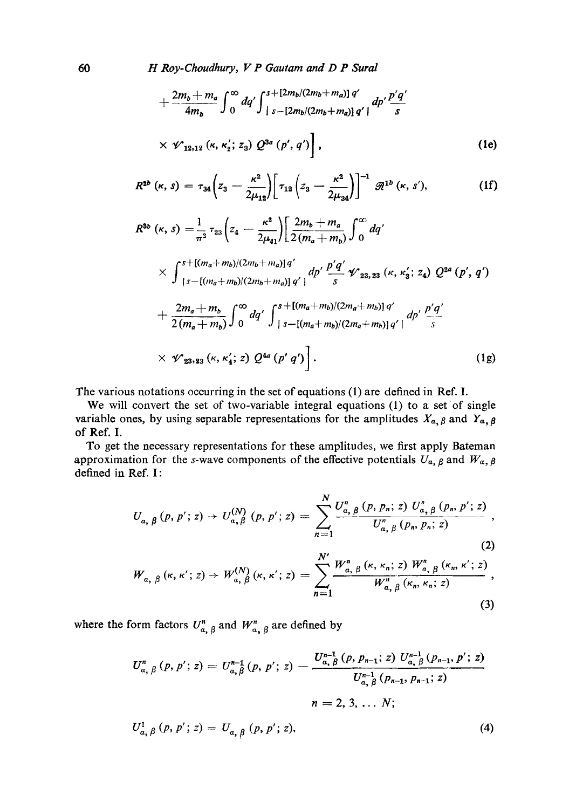60 *H Roy-Choudhury, V P Gautam and D P Sural* 

$$
+\frac{2m_b+m_a}{4m_b}\int_0^{\infty}dq'\int_{|s-[2m_b/(2m_b+m_a)]}^{s+[2m_b/(2m_b+m_a)]q'}dp'\frac{p'q'}{s}
$$
  
×  $\mathcal{V}_{12,12}$  (k, k'<sub>2</sub>; z<sub>3</sub>)  $Q^{3a}(p',q')$ , (1e)

$$
R^{2b} (\kappa, s) = \tau_{34} \left( z_3 - \frac{\kappa^2}{2 \mu_{12}} \right) \left[ \tau_{12} \left( z_3 - \frac{\kappa^2}{2 \mu_{34}} \right) \right]^{-1} \mathcal{R}^{1b} (\kappa, s'), \tag{1f}
$$

$$
R^{3b} (\kappa, s) = \frac{1}{\pi^2} \tau_{23} \left( z_4 - \frac{\kappa^2}{2\mu_{41}} \right) \left[ \frac{2m_b + m_a}{2(m_a + m_b)} \int_0^\infty dq' \right]
$$

$$
\times \int_{|s-\left[(m_a+m_b)/(2m_b+m_a)\right]q'}^{s+\left[(m_a+m_b)/(2m_b+m_a)\right]q'} dp' \frac{p'q'}{s} \mathscr{V}_{23,23}(\kappa,\kappa'_3;z_4) Q^{2a}(p',q')
$$

$$
+\frac{2m_a+m_b}{2(m_a+m_b)}\int_0^\infty dq'\int_{|s-[(m_a+m_b)/(2m_a+m_b)]q'}^{s+[(m_a+m_b)/(2m_a+m_b)]q'}\,dp'\,\frac{p'q'}{s}
$$
  
×  $\mathcal{V}_{23,23}(\kappa,\kappa_4';z)\mathcal{Q}^{4a}(p'q')\bigg].$  (1g)

The various notations occurring in the set of equations (1) are defined in Ref. I.

We will convert the set of two-variable integral equations  $(1)$  to a set of single variable ones, by using separable representations for the amplitudes  $X_{\alpha, \beta}$  and  $Y_{\alpha, \beta}$ of Ref. I.

To get the necessary representations for these amplitudes, we first apply Bateman approximation for the s-wave components of the effective potentials  $U_{\alpha, \beta}$  and  $W_{\alpha, \beta}$ defined in Ref. I:

$$
U_{a, \beta}(p, p'; z) \rightarrow U_{a, \beta}^{(N)}(p, p'; z) = \sum_{n=1}^{N} \frac{U_{a, \beta}^{n}(p, p_{n}; z) U_{a, \beta}^{n}(p_{n}, p'; z)}{U_{a, \beta}^{n}(p_{n}, p_{n}; z)},
$$
\n(2)

$$
W_{a, \beta}(\kappa, \kappa'; z) \to W_{a, \beta}^{(N)}(\kappa, \kappa'; z) = \sum_{n=1}^{N'} \frac{W_{a, \beta}^{n}(\kappa, \kappa_{n}; z) W_{a, \beta}^{n}(\kappa_{n}, \kappa'; z)}{W_{a, \beta}^{n}(\kappa_{n}, \kappa_{n}; z)},
$$
\n(3)

where the form factors  $U_{\alpha, \beta}^n$  and  $W_{\alpha, \beta}^n$  are defined by

$$
U_{\alpha, \beta}^{n}(p, p'; z) = U_{\alpha, \beta}^{n-1}(p, p'; z) - \frac{U_{\alpha, \beta}^{n-1}(p, p_{n-1}; z) U_{\alpha, \beta}^{n-1}(p_{n-1}, p'; z)}{U_{\alpha, \beta}^{n-1}(p_{n-1}, p_{n-1}; z)}
$$
  
\n
$$
n = 2, 3, \dots N;
$$
  
\n
$$
U_{\alpha, \beta}^{1}(p, p'; z) = U_{\alpha, \beta}(p, p'; z).
$$
\n(4)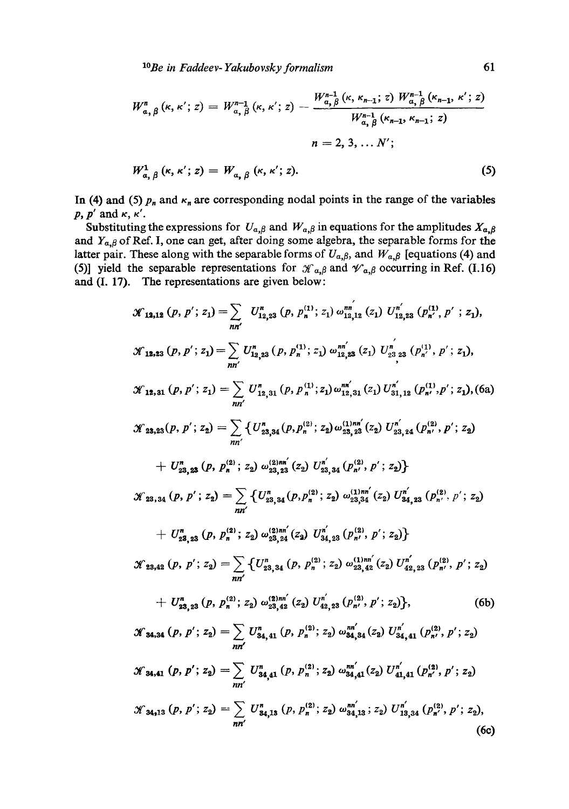<sup>10</sup>Be in Faddeev-Yakubovsky formalism **61** 

$$
W_{a, \beta}^{n}(\kappa, \kappa'; z) = W_{a, \beta}^{n-1}(\kappa, \kappa'; z) - \frac{W_{a, \beta}^{n-1}(\kappa, \kappa_{n-1}; z) W_{a, \beta}^{n-1}(\kappa_{n-1}, \kappa'; z)}{W_{a, \beta}^{n-1}(\kappa_{n-1}, \kappa_{n-1}; z)}
$$
  
\n
$$
n = 2, 3, \dots N';
$$
  
\n
$$
W_{a, \beta}^{1}(\kappa, \kappa'; z) = W_{a, \beta}(\kappa, \kappa'; z).
$$
 (5)

In (4) and (5)  $p_n$  and  $\kappa_n$  are corresponding nodal points in the range of the variables  $p, p'$  and  $\kappa, \kappa'.$ 

Substituting the expressions for  $U_{\alpha,\beta}$  and  $W_{\alpha,\beta}$  in equations for the amplitudes  $X_{\alpha,\beta}$ and  $Y_{\alpha,\beta}$  of Ref. I, one can get, after doing some algebra, the separable forms for the latter pair. These along with the separable forms of  $U_{\alpha,\beta}$ , and  $W_{\alpha,\beta}$  [equations (4) and (5)] yield the separable representations for  $\mathcal{K}_{\alpha,\beta}$  and  $\mathcal{V}_{\alpha,\beta}$  occurring in Ref. (I.16) and (I. 17). The representations are given below:

$$
\mathcal{K}_{13,12}(p, p'; z_1) = \sum_{nn'} U_{12,23}^n (p, p_1^{(1)}; z_1) \omega_{13,12}^{nn'} (z_1) U_{12,23}^n (p_n^{(1)}, p'; z_1),
$$
  
\n
$$
\mathcal{K}_{13,23}(p, p'; z_1) = \sum_{nn'} U_{12,23}^n (p, p_n^{(1)}; z_1) \omega_{12,23}^{nn'} (z_1) U_{23,23}^n (p_n^{(1)}, p'; z_1),
$$
  
\n
$$
\mathcal{K}_{13,31}(p, p'; z_1) = \sum_{nn'} U_{12,31}^n (p, p_n^{(1)}; z_1) \omega_{12,31}^{nn'} (z_1) U_{31,12}^n (p_n^{(1)}, p'; z_1),
$$
  
\n
$$
\mathcal{K}_{23,23}(p, p'; z_2) = \sum_{nn'} U_{23,34}^n (p, p_n^{(2)}; z_2) \omega_{23,23}^{(1)} (z_2) U_{23,24}^n (p_n^{(2)}, p'; z_2)
$$
  
\n
$$
+ U_{23,23}^n (p, p'; z_2) = \sum_{nn'} \{U_{23,34}^n (p, p_n^{(2)}; z_2) \omega_{23,23}^{(1)} (z_2) U_{23,24}^n (p_n^{(2)}, p'; z_2)
$$
  
\n
$$
\mathcal{K}_{23,24}(p, p'; z_2) = \sum_{nn'} \{U_{23,24}^n (p, p_n^{(2)}; z_2) \omega_{23,24}^{(1)} (z_2) U_{34,23}^n (p_n^{(2)}, p'; z_2)
$$
  
\n
$$
+ U_{23,23}^n (p, p_n^{(2)}; z_2) \omega_{23,24}^{(2)} (z_2) U_{34,23}^n (p_n^{(2)}, p'; z_2)
$$
  
\n
$$
\mathcal{K}_{23,24}(p, p'; z_2) = \sum_{nn'} \{U_{23,24}^n (p, p_n^{(2)}; z_2) \omega_{23,24}^{(1)} (z_2) U
$$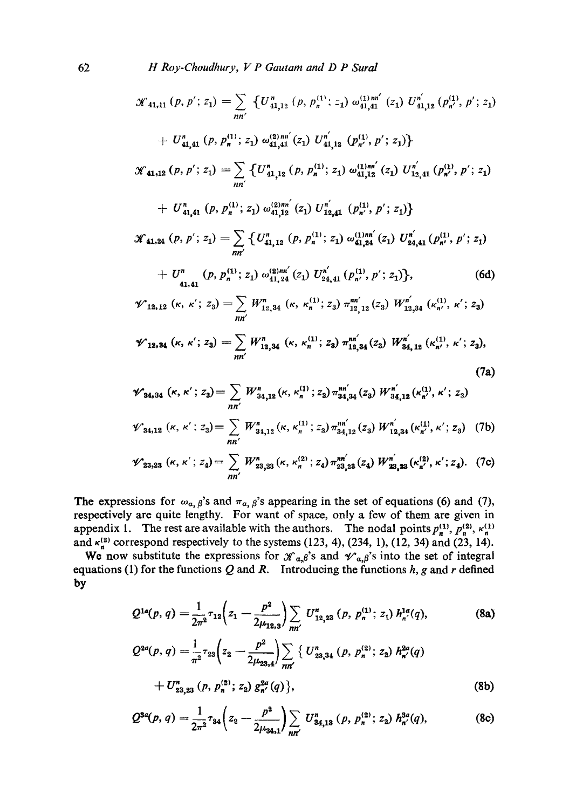$$
\mathcal{K}_{41,41}(p, p'; z_1) = \sum_{nn'} \{ U_{41,12}^n (p, p_n^{(1)}; z_1) \omega_{41,41}^{(1)}(z_1) U_{41,12}^{n'}(p_n^{(1)}, p'; z_1)
$$
  
+  $U_{41,41}^n (p, p_n^{(1)}; z_1) \omega_{41,41}^{(2)}(z_1) U_{41,12}^{n'}(p_n^{(1)}, p'; z_1) \}$   

$$
\mathcal{K}_{41,12}(p, p'; z_1) = \sum_{nn'} \{ U_{41,12}^n (p, p_n^{(1)}; z_1) \omega_{41,12}^{(1)m'}(z_1) U_{12,41}^{n'}(p_n^{(1)}, p'; z_1)
$$
  
+  $U_{41,41}^n (p, p_n^{(1)}; z_1) \omega_{41,12}^{(2)m'}(z_1) U_{12,41}^{n'}(p_n^{(1)}, p'; z_1) \}$   

$$
\mathcal{K}_{41,24}(p, p'; z_1) = \sum_{nn'} \{ U_{41,12}^n (p, p_n^{(1)}; z_1) \omega_{41,24}^{(1)m'}(z_1) U_{24,41}^{n'}(p_n^{(1)}, p'; z_1)
$$
  
+  $U_{41,41}^n (p, p_n^{(1)}; z_1) \omega_{41,24}^{(2)m'}(z_1) U_{24,41}^{n'}(p_n^{(1)}, p'; z_1) \}$   
+  $U_{41,41}^n (p, p_n^{(1)}; z_1) \omega_{41,24}^{(2)m'}(z_1) U_{24,41}^{n'}(p_n^{(1)}, p'; z_1) \}$ , (6d)  

$$
\mathcal{V}_{12,12}(k, k'; z_3) = \sum_{nn'} W_{12,34}^n (k, k_n^{(1)}; z_3) \pi_{12,12}^{nn'}(z_3) W_{12,34}^{n'}(k_n^{(1)}, k'; z_3)
$$

$$
\mathscr{V}_{12,34}(\kappa,\kappa';z_3)=\sum_{nn'}W_{12,34}^n(\kappa,\kappa_n^{(1)};z_3)\,\pi_{12,34}^{nn'}(z_3)\,W_{34,12}^{n'}(\kappa_{n'}^{(1)},\kappa';z_3),\tag{7a}
$$

$$
\mathscr{W}_{34,34}(\kappa,\kappa';z_3)=\sum_{nn'}W_{34,12}^n(\kappa,\kappa_n^{(1)};z_3)\,\pi_{34,34}^{nn'}(z_3)\,W_{34,12}^{\kappa'}(\kappa_{n'}^{(1)},\kappa';z_3)
$$

$$
\mathscr{V}_{34,12}(\kappa,\kappa';z_3)=\sum_{nn'}W_{34,12}^n(\kappa,\kappa_n^{(1)};z_3)\,\pi_{34,12}^{nn'}(z_3)\,W_{12,34}^{n'}(\kappa_{n'}^{(1)},\kappa';z_3)\quad(7b)
$$

$$
\mathscr{V}_{23,23}\ (\kappa,\kappa';z_4)=\sum_{nn'}W_{23,23}^n(\kappa,\kappa_n^{(2)};z_4)\,\pi_{23,23}^{nn'}(z_4)\;W_{23,23}^{n'}(\kappa_n^{(2)},\kappa';z_4). \tag{7c}
$$

The expressions for  $\omega_{\alpha}$ ,  $\beta$ 's and  $\pi_{\alpha}$ ,  $\beta$ 's appearing in the set of equations (6) and (7), respectively are quite lengthy. For want of space, only a few of them are given in appendix 1. The rest are available with the authors. The nodal points  $p_n^{(1)}$ ,  $p_n^{(2)}$ ,  $\kappa_n^{(1)}$ and  $\kappa_n^{(2)}$  correspond respectively to the systems (123, 4), (234, 1), (12, 34) and (23, 14).

We now substitute the expressions for  $\mathcal{K}_{\alpha,\beta}$ 's and  $\mathcal{V}_{\alpha,\beta}$ 's into the set of integral equations (1) for the functions Q and R. Introducing the functions  $h$ , g and r defined **by** 

$$
Q^{1a}(p,q) = \frac{1}{2\pi^2} \tau_{12} \left( z_1 - \frac{p^2}{2\mu_{12,3}} \right) \sum_{nn'} U_{12,23}^n (p, p_n^{(1)}; z_1) h_n^{1a}(q),
$$
\n
$$
Q^{2a}(p,q) = \frac{1}{\pi^2} \tau_{23} \left( z_2 - \frac{p^2}{2\mu_{23,4}} \right) \sum_{nn'} \left\{ U_{23,34}^n (p, p_n^{(2)}; z_2) h_n^{2a}(q) + U_{23,23}^n (p, p_n^{(2)}; z_2) g_n^{2a}(q) \right\},
$$
\n(8b)

$$
Q^{3a}(p,q) = \frac{1}{2\pi^2} \tau_{34} \left( z_2 - \frac{p^2}{2\mu_{34,1}} \right) \sum_{n\neq i} U_{34,13}^n (p, p_n^{(2)}; z_2) h_{n'}^{3a}(q), \tag{8c}
$$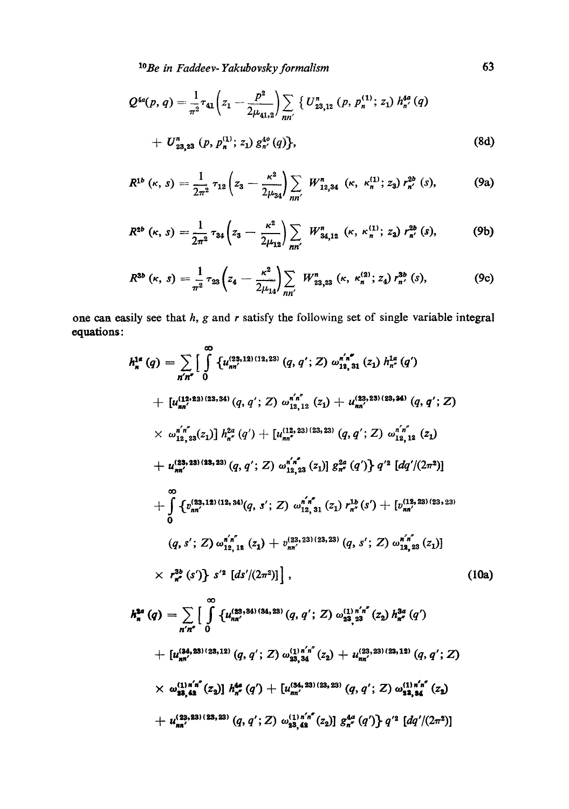*1°Be in Faddeev- Yakubovsky formalism* 63

$$
Q^{4a}(p,q) = \frac{1}{\pi^2} \tau_{41} \left( z_1 - \frac{p^2}{2\mu_{41,2}} \right) \sum_{nn'} \left\{ U_{23,12}^n (p, p_n^{(1)}; z_1) h_n^{4a}(q) + U_{23,23}^n (p, p_n^{(1)}; z_1) g_n^{4c}(q) \right\},
$$
\n(8d)

$$
R^{1b} (\kappa, s) = \frac{1}{2\pi^2} \tau_{12} \left( z_3 - \frac{\kappa^2}{2\mu_{34}} \right) \sum_{nn'} W^{n}_{12,34} (\kappa, \kappa_n^{(1)}; z_3) r_{n'}^{2b} (s), \tag{9a}
$$

$$
R^{2b} (\kappa, s) = \frac{1}{2\pi^2} \tau_{34} \left( z_3 - \frac{\kappa^2}{2\mu_{12}} \right) \sum_{nn'} W_{34,12}^n (\kappa, \kappa_n^{(1)}; z_3) r_{n'}^{2b} (s), \tag{9b}
$$

$$
R^{3b} (\kappa, s) = \frac{1}{\pi^2} \tau_{23} \left( z_4 - \frac{\kappa^2}{2\mu_{14}} \right) \sum_{nn'} W^{n}_{23,23} (\kappa, \kappa_n^{(2)}; z_4) r_n^{3b} (s), \tag{9c}
$$

one can easily see that  $h$ ,  $g$  and  $r$  satisfy the following set of single variable integral equations:

$$
h_n^{1a}(q) = \sum_{n'n'} \int_0^{\infty} \{u_{nn'}^{(23,12)(12,23)}(q,q';Z) \omega_{12,31}^{n'n'}(z_1) h_n^{1d}(q')
$$
  
+  $[u_{nn'}^{(12,23)(23,34)}(q,q';Z) \omega_{12,12}^{n'n'}(z_1) + u_{nn'}^{(33,23)(23,24)}(q,q';Z)$   
 $\times \omega_{12,23}^{n'n'}(z_1) \} h_n^{2a}(q') + [u_{nn'}^{(12,23)(23,23)}(q,q';Z) \omega_{12,12}^{n'n'}(z_1)$   
+  $u_{nn'}^{(33,23)(33,23)}(q,q';Z) \omega_{12,23}^{n'n''}(z_1) \} g_n^{2a}(q') \} q'^{2}[dq'/(2\pi^{2})]$   
+  $\int_0^{\infty} \{v_{nn'}^{(23,12)(12,34)}(q,s';Z) \omega_{12,31}^{n'n''}(z_1) r_{n'}^{1b}(s') + [v_{nn'}^{(13,23)(23,23)}(q,s';Z) \omega_{12,12}^{n'n''}(z_1) + v_{nn'}^{(23,23)(23,23)}(q,s';Z) \omega_{13,23}^{n'n''}(z_1)]$   
+  $r_n^{3b}(s')\} s'^{2}[ds'/(2\pi^{2})]\right],$  (10a)  
 $h_n^{2a}(q) = \sum_{n'n'} \int_0^{\infty} \{u_{nn'}^{(33,34)(34,23)}(q,q';Z) \omega_{23,23}^{(1)n'n''}(z_2) h_n^{3a}(q')$   
+  $[u_{nn'}^{(34,23)(23,12)}(q,q';Z) \omega_{23,34}^{(1)n'n''}(z_2) + u_{nn'}^{(23,23)(23,13)}(q,q';Z)$   
+  $u_{nn'}^{(23,23)(23,12)}(q,q';Z) \omega_{23,44}^{(1)n'n''}(z_2)] g_n^{4a}(q') + u_{nn'}^{(23,23)(23,13)}(q,q';Z)$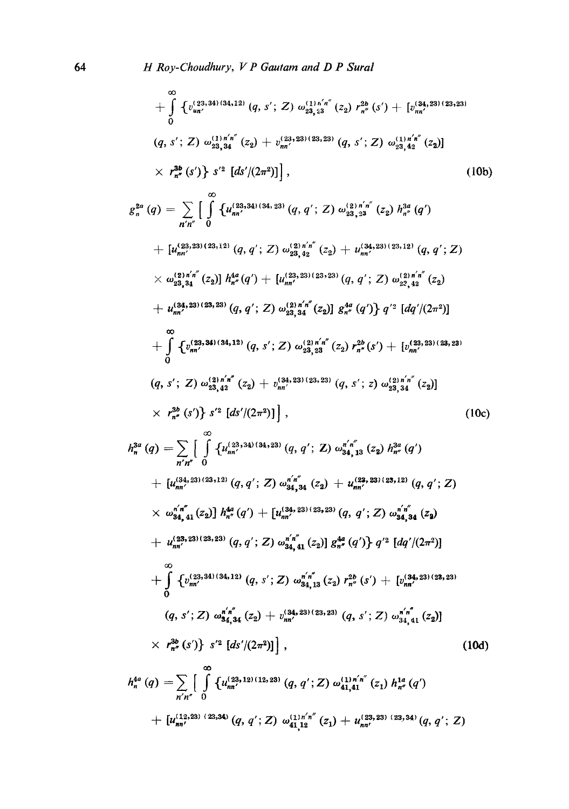$$
+\int_{0}^{\infty} \left\{v_{aa'}^{(23,34)(34,12)}(q, s'; Z) \omega_{23,23}^{(11)/n'n'}(z_2) r_n^{2b}(s') + [v_{aa'}^{(34,23)(23,23)}(q, s'; Z) \omega_{23,34}^{(11)n'n'}(z_2) + v_{aa'}^{(23,23)(23,23)}(q, s'; Z) \omega_{23,42}^{(11)n'n'}(z_2)]\times r_n^{2b}(s')\} s'^{2} [ds'/(2\pi^2)]\right], (10b)
$$
g_n^{2a}(q) = \sum_{n'n'} \left[ \int_{0}^{\infty} \left\{u_{na'}^{(23,24)(34,23)}(q, q'; Z) \omega_{23,23}^{(2)}(z_2) h_{na'}^{3a}(q') \right\} + [u_{na'}^{(23,23)(23,12)}(q, q'; Z) \omega_{23,24}^{(23,12)}(z_2) h_{na'}^{3a}(q') \right\} + \frac{u_{na'}^{(23,23)(23,12)}(q, q'; Z) \omega_{23,34}^{(23,12)}(z_2) + u_{na'}^{(34,23)(23,12)}(q, q'; Z) \omega_{23,34}^{(23,12)}(z_2) + u_{na'}^{(23,23)(23,12)}(q, q'; Z) \omega_{23,44}^{(23,23)}(z_2) + u_{na'}^{(23,23)(23,23)}(q, q'; Z) \omega_{23,44}^{(23,23)}(z_2) + \frac{a_1}{2} \omega_{23,44}^{(23,23)}(z_2) h_{na'}^{2a}(z_2) + \frac{a_1}{2} \omega_{23,44}^{(23,23)(23,23)}(q, s'; Z) \omega_{23,44}^{(23,23)}(z_2) h_{na'}^{2a}(s') + [v_{na'}^{(23,23)(23,23)}(q, s'; Z) \omega_{23,44}^{(23,23)(23,23)}(q, s'; Z) \omega_{23,44}^{(23,23)(23,23)}(q, s'; Z
$$
$$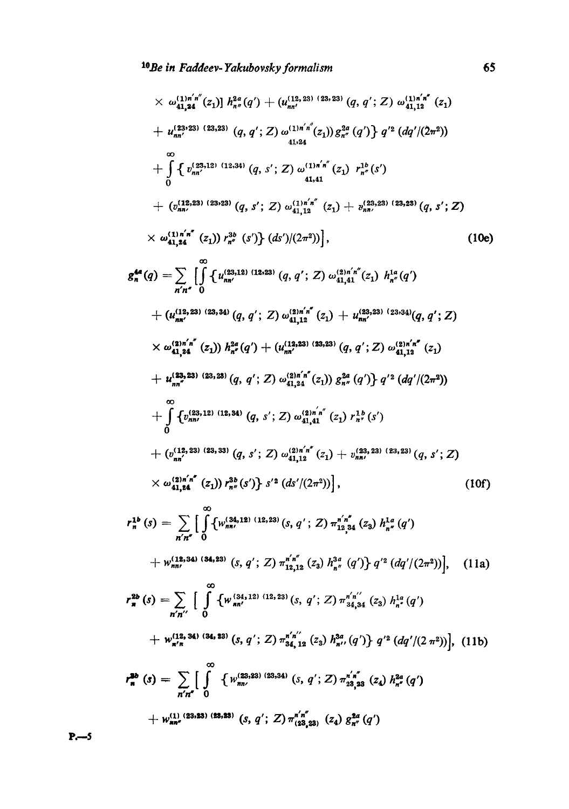$$
\times \omega_{4,14}^{(1) n' n'}(z_1) \, h_{n\sigma}^{2a} (q') + (u_{nn'}^{(12, 23)} (33, 23) (q, q'; Z) \omega_{4,14}^{(1) n' n'}(z_1)
$$
  
+  $u_{nn'}^{(23, 23)} (33, 33) (q, q'; Z) \omega_{4,134}^{(1) n' n'}(z_1) \, g_{n\sigma}^{2a} (q') \} q'^{2} (dq'/(2\pi^{2}))$   
+  $\int_{0}^{\infty} \{v_{nn'}^{(23, 13)} (12, 34) (q, s'; Z) \omega_{4,144}^{(1) n' n'}(z_1) \, r_{n\sigma}^{12} (s')$   
+  $(v_{nn'}^{(12, 233)} (33, 23) (q, s'; Z) \omega_{4,144}^{(1) n' n'}(z_1) + v_{nn'}^{(23, 23)} (23, 23) (q, s'; Z)$   

$$
\times \omega_{4,1,44}^{(1) n' n''}(z_1) \, r_{n\sigma}^{2b}(s') \} (ds') (2\pi^{2})) \Big], \qquad (10e)
$$
  

$$
g_n^{4a}(q) = \sum_{n'n'} \int_{0}^{\infty} \{u_{nn'}^{(23, 12)} (13, 23) (q, q'; Z) \omega_{4,14}^{(2) n' n''}(z_1) \, h_{n\sigma}^{1a}(q')
$$
  
+  $(u_{nn'}^{(13, 23)} (33, 34) (q, q'; Z) \omega_{4,14}^{(2) n' n''}(z_1) + u_{nn'}^{(23, 23)} (23, 44) (q, q'; Z)$   

$$
\times \omega_{4,1,4}^{(23, 24)} (23, 1) \, h_{n\sigma}^{2a}(q') + (u_{nn'}^{(12, 23)} (33, 23) (q, q'; Z) \omega_{4,14}^{(23, 1) n''}(z_1)
$$
  
+  $u_{nn'}^{(23, 23)} (33, 23) (q, q'; Z) \omega_{4,14}^{(2) n' n''}(z_1$ 

**P~5**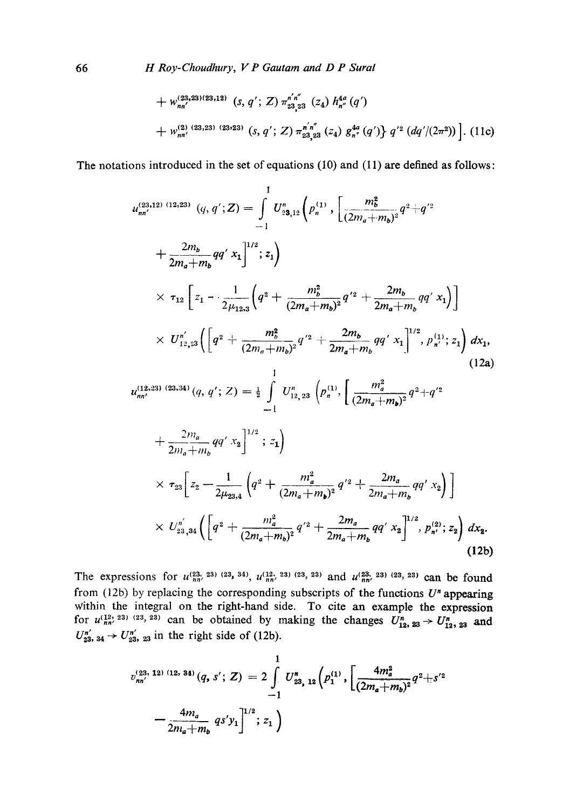66 *H Roy-Choudhury, V P Gautam and D P Sural* 

+ 
$$
w_{nn'}^{(23,23)(23,12)}
$$
 (s, q'; Z)  $\pi_{23,23}^{n'n''}$  (z<sub>4</sub>)  $h_{n''}^{4a}$  (q')  
+  $w_{nn'}^{(2)(23,23)(23,23)}$  (s, q'; Z)  $\pi_{23,23}^{n'n''}$  (z<sub>4</sub>)  $g_{n''}^{4a}$  (q') $\}$  q'<sup>2</sup> (dq'/( $2\pi^2$ ))]. (11c)

The notations introduced in the set of equations (10) and (11) are defined as follows:

$$
u_{nn'}^{(23,12) (12,23) (q, q'; Z) = \int_{-1}^{1} U_{23,12}^{n} \left( p_n^{(1)} \right) \left[ \frac{m_b^2}{(2m_a + m_b)^2} q^2 + q'^2 + \frac{2m_b}{2m_a + m_b} qq' x_1 \right]^{1/2}; z_1
$$
  
\n
$$
\times \tau_{12} \left[ z_1 - \frac{1}{2\mu_{12,3}} \left( q^2 + \frac{m_b^2}{(2m_a + m_b)^2} q'^2 + \frac{2m_b}{2m_a + m_b} qq' x_1 \right) \right]
$$
  
\n
$$
\times U_{12,23}^{n'} \left( \left[ q^2 + \frac{m_b^2}{(2m_a + m_b)^2} q'^2 + \frac{2m_b}{2m_a + m_b} qq' x_1 \right]^{1/2}, p_n^{(1)}; z_1 \right) dx_1,
$$
  
\n
$$
u_{nn'}^{(12,23) (23,34) (q, q'; Z) = \frac{1}{2} \int_{-1}^{1} U_{12,23}^{n} \left( p_n^{(1)} \right) \left[ \frac{m_a^2}{(2m_a + m_b)^2} q^2 + q'^2 + \frac{2m_a}{2m_a + m_b} qq' x_2 \right]^{1/2}; z_1
$$
  
\n
$$
\times \tau_{23} \left[ z_2 - \frac{1}{2\mu_{23,4}} \left( q^2 + \frac{m_a^2}{(2m_a + m_b)^2} q'^2 + \frac{2m_a}{2m_a + m_b} qq' x_2 \right) \right]
$$
  
\n
$$
\times U_{23,34}^{n'} \left( \left[ q^2 + \frac{m_a^2}{(2m_a + m_b)^2} q'^2 + \frac{2m_a}{2m_a + m_b} qq' x_2 \right]^{1/2}, p_n^{(2)}; z_2 \right) dx_2.
$$
  
\n(12b)

The expressions for  $u_{nn'}^{(23, 23)}$  (23, 34),  $u_{nn'}^{(12, 23)}$  (23, 23) and  $u_{nn'}^{(23, 23)}$  (23, 23) can be found from (12b) by replacing the corresponding subscripts of the functions  $U<sup>n</sup>$  appearing Within the integral on the right-hand side. To cite an example the expression for  $u_{n}^{(12, 23)}$  (23, 23) can be obtained by making the changes  $U_{n_2, 23}^n \rightarrow U_{n_2, 23}^n$  and  $U_{23, 34}^{n'} \rightarrow U_{23, 23}^{n'}$  in the right side of (12b).

$$
v_{nn'}^{(23,\,12)\,(12,\,34)}(q,\,s';\,Z) = 2\int\limits_{-1}^{1} U_{23,\,12}^n \left( p_1^{(1)} , \left[ \frac{4m_a^2}{(2m_a + m_b)^2} q^2 + s'^2 \right] \right.\n\left. - \frac{4m_a}{2m_a + m_b} q s' y_1 \right]^{1/2};\, z_1 \right)
$$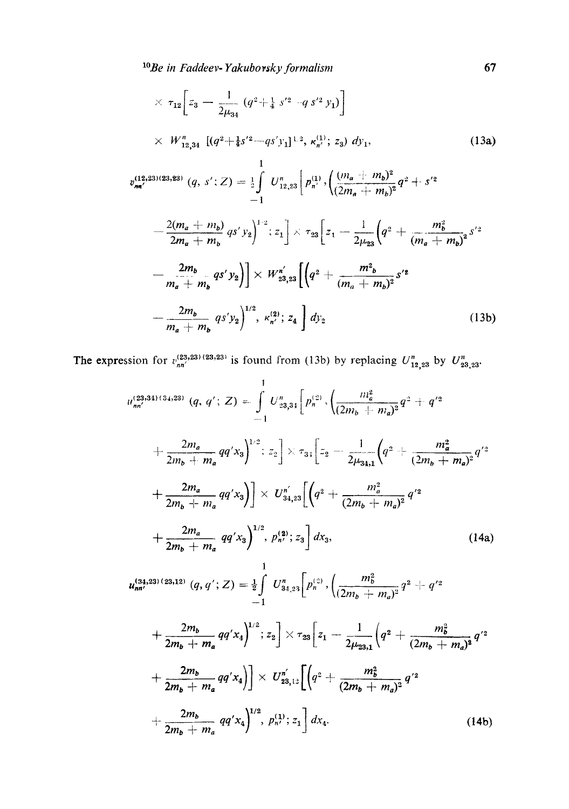$$
\times \tau_{12} \Big[ z_3 - \frac{1}{2\mu_{34}} \left( q^2 + \frac{1}{4} s'^2 - q s'^2 y_1 \right) \Big] \times W_{12,34}^n \Big[ \left( q^2 + \frac{1}{4} s'^2 - q s' y_1 \right]^{1/2}, \kappa_n^{(1)}; z_3 \big] dy_1, \qquad (13a)
$$
  

$$
v_{nn'}^{(12,23)(23,23)}(q, s'; Z) = \frac{1}{2} \int U_{12,23}^n \Big[ p_n^{(1)}, \Big( \frac{(m_a + m_b)^2}{(2m_a + m_b)^2} q^2 + s'^2 - \frac{2(m_a + m_b)}{2m_a + m_b} q s' y_2 \Big)^{1/2}; z_1 \Big] \times \tau_{23} \Big[ z_1 - \frac{1}{2\mu_{23}} \Big( q^2 + \frac{m_b^2}{(m_a + m_b)^2} s'^2 - \frac{2m_b}{m_a + m_b} q s' y_2 \Big) \Big] \times W_{23,23}^n \Big[ \Big( q^2 + \frac{m^2_b}{(m_a + m_b)^2} s'^2 - \frac{2m_b}{m_a + m_b} q s' y_2 \Big) \Big] \times W_{23,23}^n \Big[ \Big( q^2 + \frac{m^2_b}{(m_a + m_b)^2} s'^2 - \frac{2m_b}{m_a + m_b} q s' y_2 \Big)^{1/2}, \kappa_n^{(2)}; z_4 \Big] dy_2 \qquad (13b)
$$

The expression for  $v_{nn'}^{(23,23)(23,23)}$  is found from (13b) by replacing  $U_{12,23}^n$  by  $U_{23,23}^n$ .

$$
u_{nn'}^{(23,34)(34,23)}(q, q'; Z) = \int_{-1}^{1} U_{23,34}^{n} \left[ p_n^{(2)} \cdot \left( \frac{m_a^2}{(2m_b + m_a)^2} q^2 + q'^2 \right) \right. \\ + \frac{2m_a}{2m_b + m_a} q q' x_3 \right]^{1/2} : z_2 \Big] \times \tau_{34} \left[ z_2 - \frac{1}{2\mu_{34,1}} \left( q^2 + \frac{m_a^2}{(2m_b + m_a)^2} q'^2 \right. \\ + \frac{2m_a}{2m_b + m_a} q q' x_3 \right) \Big] \times U_{34,23}^{n'} \left[ \left( q^2 + \frac{m_a^2}{(2m_b + m_a)^2} q'^2 \right. \\ + \frac{2m_a}{2m_b + m_a} q q' x_3 \right)^{1/2}, \ p_n^{(2)}; z_3 \Big] \, dx_3, \tag{14a}
$$

$$
u_{nn'}^{(34,23)(23,12)}(q,q';Z)=\frac{1}{2}\int_{-1}^1 U_{34,23}^n\bigg[p_n^{(2)},\bigg(\frac{m_b^2}{(2m_b+m_a)^2}q^2+q'^2\bigg)
$$

$$
+\frac{2m_b}{2m_b+m_a}qq'x_4\bigg)^{1/2}; z_2\bigg] \times \tau_{23}\bigg[z_1-\frac{1}{2\mu_{23,1}}\bigg(q^2+\frac{m_b^2}{(2m_b+m_a)^2}q'^2+\frac{2m_b}{2m_b+m_a}qq'x_4\bigg)\bigg] \times U_{23,12}^{n'}\bigg[\bigg(q^2+\frac{m_b^2}{(2m_b+m_a)^2}q'^2+\frac{2m_b}{2m_b+m_a}qq'x_4\bigg)^{1/2}, p_n^{(1)}; z_1\bigg]dx_4.
$$
\n(14b)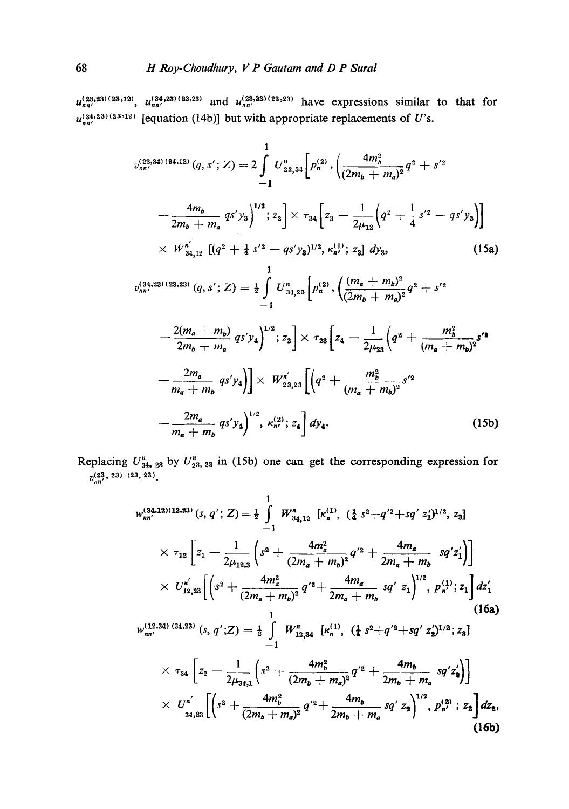$u_{nn'}^{(23,23)(23,12)}$ ,  $u_{nn'}^{(34,23)(23,23)}$  and  $u_{nn'}^{(23,23)(23,23)}$  have expressions similar to that for  $u_{nn'}^{(34,23)(23,12)}$  [equation (14b)] but with appropriate replacements of U's.

$$
v_{nn'}^{(23,34)(34,12)}(q,s';Z) = 2 \int_{-1}^{1} U_{23,34}^{n} \left[ p_n^{(2)}, \left( \frac{4m_b^2}{(2m_b + m_a)^2} q^2 + s'^2 \right) \right. \\ - \frac{4m_b}{2m_b + m_a} q s' y_3 \right]^{1/2}; z_2 \times \tau_{34} \left[ z_3 - \frac{1}{2\mu_{12}} \left( q^2 + \frac{1}{4} s'^2 - q s' y_3 \right) \right] \\ \times W_{34,12}^{n'} \left[ (q^2 + \frac{1}{4} s'^2 - q s' y_3)^{1/2}, \kappa_n^{(1)}; z_3 \right] dy_3, \qquad (15a)
$$
  

$$
v_{nn'}^{(34,23)(23,23)}(q,s';Z) = \frac{1}{2} \int_{-1}^{1} U_{34,23}^{n} \left[ p_n^{(2)}, \left( \frac{(m_a + m_b)^2}{(2m_b + m_a)^2} q^2 + s'^2 \right) \right. \\ - \frac{2(m_a + m_b)}{2m_b + m_a} q s' y_4 \right]^{1/2}; z_2 \times \tau_{23} \left[ z_4 - \frac{1}{2\mu_{23}} \left( q^2 + \frac{m_b^2}{(m_a + m_b)^2} s'^2 \right. \\ - \frac{2m_a}{m_a + m_b} q s' y_4 \right] \times W_{23,23}^{n'} \left[ \left( q^2 + \frac{m_b^2}{(m_a + m_b)^2} s'^2 \right. \\ - \frac{2m_a}{m_a + m_b} q s' y_4 \right]^{1/2}, \kappa_n^{(2)}; z_4 \right] dy_4.
$$
 (15b)

Replacing  $U_{34, 23}^n$  by  $U_{23, 23}^n$  in (15b) one can get the corresponding expression for  $v_{nn'}^{(23, 23) (23, 23)}$ 

$$
w_{nn'}^{(34,12)(12,23)}(s,q';Z) = \frac{1}{2} \int_{-1}^{1} W_{34,12}^{n} \left[ \kappa_n^{(1)}, \left( \frac{1}{4} s^2 + q'^2 + s q' z'_1 \right)^{1/2}, z_3 \right]
$$
  
 
$$
\times \tau_{12} \left[ z_1 - \frac{1}{2\mu_{12,3}} \left( s^2 + \frac{4m_a^2}{(2m_a + m_b)^2} q'^2 + \frac{4m_a}{2m_a + m_b} s q' z'_1 \right) \right]
$$
  
 
$$
\times U_{12,23}^{n'} \left[ \left( s^2 + \frac{4m_a^2}{(2m_a + m_b)^2} q'^2 + \frac{4m_a}{2m_a + m_b} s q' z_1 \right)^{1/2}, p_n^{(1)}; z_1 \right] dz'_1
$$
  
(16a)  
(12.34) (34.23)

 $W_{nn'}^{(12,34),(34,23)}(s,q';Z) = \frac{1}{2}$  |  $W_{12,34}''$  [ $\kappa_n^{(1)}, (d^2 s^2 + q'^2 + sq' z'_2)^{1/2}; z_3$ ] *--1* 

[ 1 ( *4m~ 4rob sq'z~)]*  × r3, z~ -- 2p,3,, i s ~ + (2m2 Tm.) i q,2 + 2mb + m. X U" [( s ~ + 34,23 *4m~ ,2 4mb \t/2 .(~ ]*  **(2ran** *+ m.) ~ q + 2mb + m. sq' zg.) , v., ; zza dzt'*  (16b)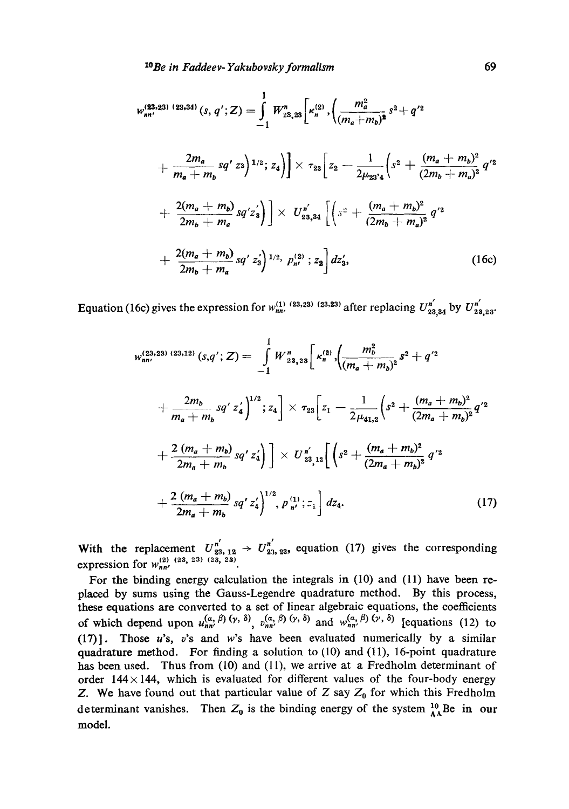*X°Be in Faddeev- Yakubovsky formalism* 69

$$
w_{nn'}^{(23,23)} (23,34) (s, q'; Z) = \int_{-1}^{1} W_{23,23}^{n} \left[ \kappa_n^{(2)} \cdot \left( \frac{m_a^2}{(m_a + m_b)^2} s^2 + q'^2 \right) \right] \times \tau_{23} \left[ z_2 - \frac{1}{2\mu_{23'4}} \left( s^2 + \frac{(m_a + m_b)^2}{(2m_b + m_a)^2} q'^2 \right) \right] \times \tau_{23} \left[ z_2 - \frac{1}{2\mu_{23'4}} \left( s^2 + \frac{(m_a + m_b)^2}{(2m_b + m_a)^2} q'^2 \right) \right] \times U_{23,34}^{n'} \left[ \left( s^2 + \frac{(m_a + m_b)^2}{(2m_b + m_a)^2} q'^2 \right) \right] \times U_{23,34}^{n'} \left[ \left( s^2 + \frac{(m_a + m_b)^2}{(2m_b + m_a)^2} q'^2 \right) \right] \times \tau_{23} \left[ \left( s^2 + \frac{(m_a + m_b)^2}{(2m_b + m_a)^2} q'^2 \right) \right] \times U_{23,34}^{n'} \left[ \left( s^2 + \frac{(m_a + m_b)^2}{(2m_b + m_a)^2} q'^2 \right) \right] \times U_{23,34}^{n'} \left[ \left( s^2 + \frac{(m_a + m_b)^2}{(2m_b + m_a)^2} q'^2 \right) \right] \times U_{23,34}^{n'} \left[ \left( s^2 + \frac{(m_a + m_b)^2}{(2m_b + m_a)^2} q'^2 \right) \right] \times U_{23,34}^{n'} \left[ \left( s^2 + \frac{(m_a + m_b)^2}{(2m_b + m_a)^2} q'^2 \right) \right] \times U_{23,34}^{n'} \left[ \left( s^2 + \frac{(m_a + m_b)^2}{(2m_b + m_a)^2} q'^2 \right) \right] \times U_{23,34}^{n'} \left[ \left( s^2 + \frac{(m_a + m_b)^2}{(2m_b + m_a)^2} q'^2 \right) \right] \times U_{23,34}^{n'} \left[ \left( s^2 + \frac{(m_a + m_b)^2}{(2m_b + m_a)^2} q'^2 \right) \right] \times U_{23,34
$$

Equation (16c) gives the expression for  $w_{nn'}^{(1)}$  (23,23) (23,23) after replacing  $U_{23,34}^{n'}$  by  $U_{23,23}^{n'}$ .

$$
w_{nn'}^{(23,23)(23,12)}(s,q';Z) = \int_{-1}^{1} W_{23,23}^{n} \left[ \kappa_n^{(2)} \cdot \left( \frac{m_b^2}{(m_a + m_b)^2} s^2 + q'^2 \right) \right] + \frac{2m_b}{m_a + m_b} s q' z_4' \Big]^{1/2}; z_4 \Big] \times \tau_{23} \Big[ z_1 - \frac{1}{2\mu_{41,2}} \left( s^2 + \frac{(m_a + m_b)^2}{(2m_a + m_b)^2} q'^2 \right] + \frac{2 (m_a + m_b)}{2m_a + m_b} s q' z_4' \Big] \Big] \times U_{23,12}^{n'} \Big[ \left( s^2 + \frac{(m_a + m_b)^2}{(2m_a + m_b)^2} q'^2 \right] + \frac{2 (m_a + m_b)}{2m_a + m_b} s q' z_4' \Big]^{1/2}, p_{n'}^{(1)}; z_1 \Big] dz_4.
$$
 (17)

With the replacement  $U_{23, 12}^n \rightarrow U_{23, 23}^n$ , equation (17) gives the corresponding expression for  $w_{nn'}^{(2)(23, 23)(23, 23)}$ .

For the binding energy calculation the integrals in (10) and (11) have been replaced by sums using the Gauss-Legendre quadrature method. By this process, these equations are converted to a set of linear algebraic equations, the coefficients of which depend upon  $u_{nn'}^{(\alpha, \beta)}(\gamma, \delta)$ ,  $v_{nn'}^{(\alpha, \beta)}(\gamma, \delta)$  and  $w_{nn'}^{(\alpha, \beta)}(\gamma, \delta)$  [equations (12) to  $(17)$ ]. Those u's, v's and w's have been evaluated numerically by a similar quadrature method. For finding a solution to (10) and (11), 16-point quadrature has been used. Thus from (10) and (11), we arrive at a Fredholm determinant of order  $144 \times 144$ , which is evaluated for different values of the four-body energy Z. We have found out that particular value of Z say  $Z_0$  for which this Fredholm determinant vanishes. Then  $Z_0$  is the binding energy of the system  $\frac{10}{4\lambda}$ Be in our model.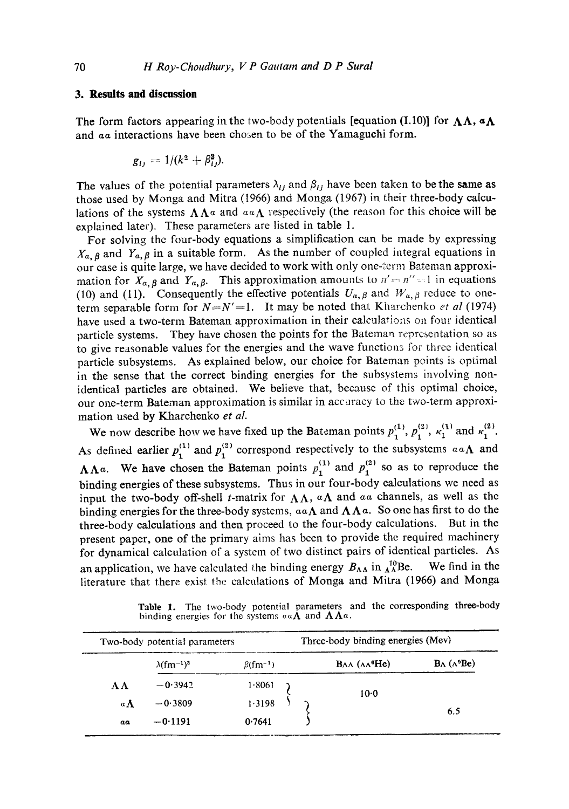#### **3. Results and discussion**

The form factors appearing in the two-body potentials [equation (I.10)] for  $\Lambda\Lambda$ ,  $\alpha\Lambda$ and aa interactions have been chosen to be of the Yamaguchi form.

$$
g_{ij} = 1/(k^2 + \beta_{ij}^2).
$$

The values of the potential parameters  $\lambda_{ij}$  and  $\beta_{ij}$  have been taken to be the same as those used by Monga and Mitra (1966) and Monga (1967) in their three-body calculations of the systems  $\Lambda \Lambda \alpha$  and  $a \alpha \Lambda$  respectively (the reason for this choice will be explained later). These parameters are listed in table 1.

For solving the four-body equations a simplification can be made by expressing  $X_{\alpha, \beta}$  and  $Y_{\alpha, \beta}$  in a suitable form. As the number of coupled integral equations in our case is quite large, we have decided to work with only one-:erm Bateman approximation for  $X_{\alpha,\beta}$  and  $Y_{\alpha,\beta}$ . This approximation amounts to  $n' = n'' = 1$  in equations (10) and (11). Consequently the effective potentials  $U_{\alpha,\beta}$  and  $W_{\alpha,\beta}$  reduce to oneterm separable form for  $N=N'=1$ . It may be noted that Kharchenko *et al* (1974) have used a two-term Bateman approximation in their calculations on four identical particle systems. They have chosen the points for the Bateman representation so as to give reasonable values for the energies and the wave function; for three identical particle subsystems. As explained below, our choice for Bateman points is optimal in the sense that the correct binding energies for the subsystems involving nonidentical particles are obtained. We believe that, because of this optimal choice, our one-term Bateman approximation is similar in accuracy to the two-term approximation used by Kharchenko *et al.* 

We now describe how we have fixed up the Bateman points  $p_1^{(1)}, p_1^{(2)}, \kappa_1^{(1)}$  and  $\kappa_1^{(2)}$ . As defined earlier  $p_1^{(1)}$  and  $p_1^{(2)}$  correspond respectively to the subsystems  $a\alpha\Lambda$  and  $\Lambda \Lambda a$ . We have chosen the Bateman points  $p_1^{(1)}$  and  $p_1^{(2)}$  so as to reproduce the binding energies of these subsystems. Thus in our four-body calculations we need as input the two-body off-shell *t*-matrix for  $\Lambda\Lambda$ ,  $\alpha\Lambda$  and  $\alpha\alpha$  channels, as well as the binding energies for the three-body systems,  $a\alpha\Lambda$  and  $\Lambda\Lambda\alpha$ . So one has first to do the three-body calculations and then proceed to the four-body calculations. But in the present paper, one of the primary aims has been to provide the required machinery for dynamical calculation of a system of two distinct pairs of identical particles. As an application, we have calculated the binding energy  $B_{\Lambda\Lambda}$  in  $^{10}_{\Lambda\Lambda}$ Be. We find in the literature that there exist the calculations of Monga and Mitra (1966) and Monga

Table 1. The two-body potential parameters and the corresponding three-body binding energies for the systems  $a\alpha\Lambda$  and  $\Lambda\Lambda a$ .

| Two-body potential parameters |                                            |                             |  | Three-body binding energies (Mev) |                                           |
|-------------------------------|--------------------------------------------|-----------------------------|--|-----------------------------------|-------------------------------------------|
|                               | $\lambda$ (fm <sup>-1</sup> ) <sup>3</sup> | $\beta$ (fm <sup>-1</sup> ) |  | BAA (AA <sup>6</sup> He)          | $B_{\Lambda}$ ( $\wedge$ <sup>9</sup> Be) |
| ΛΛ                            | $-0.3942$                                  | 1.8061                      |  | $10-0$                            |                                           |
| $\alpha \Lambda$              | $-0.3809$                                  | 1.3198                      |  |                                   | 6.5                                       |
| aa                            | $-0.1191$                                  | 0.7641                      |  |                                   |                                           |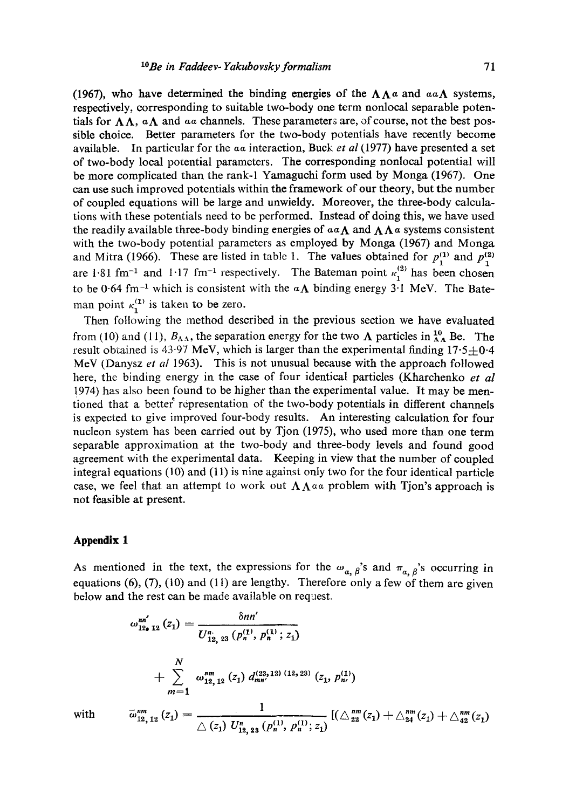(1967), who have determined the binding energies of the  $\Lambda \Lambda^{\alpha}$  and  $a \alpha \Lambda$  systems, respectively, corresponding to suitable two-body one term nonloeal separable potentials for  $\Lambda \Lambda$ ,  $\alpha \Lambda$  and  $\alpha \alpha$  channels. These parameters are, of course, not the best possible choice. Better parameters for the two-body potentials have recently become available. In particular for the aa interaction, Buck *et al* (1977) have presented a set of two-body local potential parameters. The corresponding nonlocal potential will be more complicated than the rank-1 Yamaguchi form used by Monga (1967). One can use such improved potentials within the framework of our theory, but the number of coupled equations will be large and unwieldy. Moreover, the three-body calcula-

tions with these potentials need to be performed. Instead of doing this, we have used the readily available three-body binding energies of  $a\alpha \Lambda$  and  $\Lambda \Lambda \alpha$  systems consistent with the two-body potential parameters as employed by Monga (1967) and Monga and Mitra (1966). These are listed in table 1. The values obtained for  $p_1^{(1)}$  and  $p_1^{(2)}$ are 1.81 fm<sup>-1</sup> and 1.17 fm<sup>-1</sup> respectively. The Bateman point  $\kappa_1^{(2)}$  has been chosen to be 0.64 fm<sup>-1</sup> which is consistent with the  $a\Lambda$  binding energy 3.1 MeV. The Bateman point  $\kappa_1^{(1)}$  is taken to be zero.

Then following the method described in the previous section we have evaluated from (10) and (11),  $B_{\Lambda\Lambda}$ , the separation energy for the two  $\Lambda$  particles in  $^{10}_{\Lambda\Lambda}$  Be. The result obtained is 43.97 MeV, which is larger than the experimental finding  $17.5 \pm 0.4$ MeV (Danysz et al 1963). This is not unusual because with the approach followed here, the binding energy in the case of four identical particles (Kharchenko *et al*  !974) has also been found to be higher than the experimental value. It may be mentioned that a better representation of the two-body potentials in different channels is expected to give improved four-body results. An interesting calculation for four nucleon system has been carried out by Tjon (1975), who used more than one term separable approximation at the two-body and three-body levels and found good agreement with the experimental data. Keeping in view that the number of coupled integral equations  $(10)$  and  $(11)$  is nine against only two for the four identical particle case, we feel that an attempt to work out  $\Lambda \Lambda a_a$  problem with Tjon's approach is not feasible at present.

## **Appendix 1**

As mentioned in the text, the expressions for the  $\omega_{a, \beta}$ 's and  $\pi_{a, \beta}$ 's occurring in equations (6), (7), (10) and (11) are lengthy. Therefore only a few of them are given below and the rest can be made available on request.

$$
\omega_{12_{\bullet}12}^{nn'}(z_1) = \frac{\delta nn'}{U_{12_{\bullet}23}^{n}} \left(p_n^{(1)}, p_n^{(1)}; z_1\right)
$$
  
+ 
$$
\sum_{m=1}^N \omega_{12, 12}^{nm}(z_1) d_{mn'}^{(23, 12)(12, 23)} (z_1, p_n^{(1)})
$$
  

$$
\overline{\omega}_{12, 12}^{nm}(z_1) = \frac{1}{\triangle(z_1) U_{12, 23}^n (p_n^{(1)}, p_n^{(1)}; z_1)} \left[ (\triangle_{22}^{nm}(z_1) + \triangle_{24}^{nm}(z_1) + \triangle_{42}^{nm}(z_1) \right]
$$

with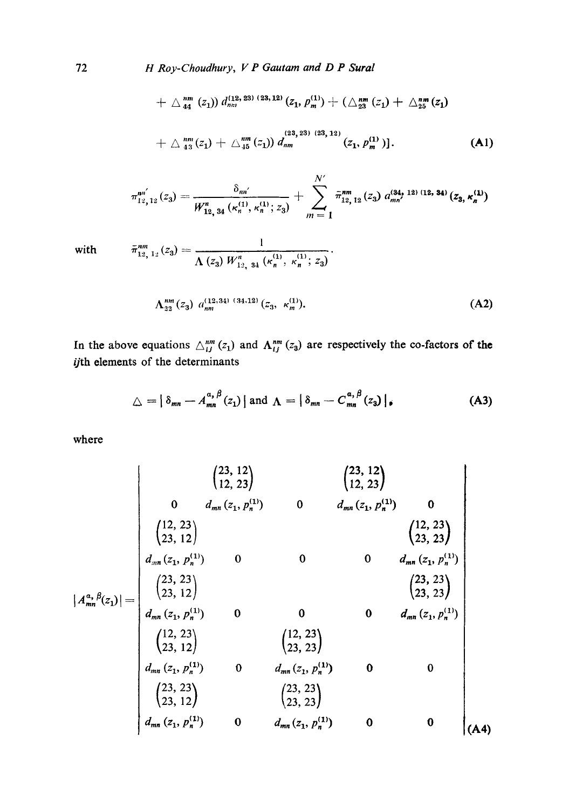72 *H Roy-Choudhury, V P Gautam and D P Sural* 

$$
+ \triangle_{44}^{nm} (z_1) d_{nn}^{(12, 23) (23, 12)} (z_1, p_m^{(1)}) + (\triangle_{23}^{nm} (z_1) + \triangle_{25}^{nm} (z_1)
$$
  
+ 
$$
\triangle_{43}^{nm} (z_1) + \triangle_{45}^{nm} (z_1) d_{nm}^{(23, 23) (23, 12)} (z_1, p_m^{(1)})].
$$
 (A1)

$$
\pi_{12,\,12}^{n n'}(z_3)=\frac{\delta_{nn'}}{W_{12,\,34}^n\left(\kappa_n^{(1)},\kappa_n^{(1)}\,;\,z_3\right)}+\sum_{m=1}^{N'}\tilde{\pi}_{12,\,12}^{nm}\left(z_3\right)a_{mn'}^{(34,\,12)\,(12,\,34)}\left(z_3,\kappa_n^{(1)}\right)
$$

 $with$ 

$$
\bar{\pi}_{12,\;12}^{nm}(z_3)=\frac{1}{\Lambda(z_3) W_{12,\;34}^n(\kappa_n^{(1)},\;\kappa_n^{(1)};z_3)}.
$$

$$
\Lambda_{22}^{nm}(z_3) a_{nm}^{(12,34)(34,12)}(z_3, \kappa_m^{(1)}).
$$
 (A2)

In the above equations  $\Delta_{ij}^{nm}(z_1)$  and  $\Lambda_{ij}^{nm}(z_3)$  are respectively the co-factors of the *ijth* elements of the determinants

$$
\triangle = |\delta_{mn} - A_{mn}^{\alpha,\beta}(z_1)| \text{ and } \Lambda = |\delta_{mn} - C_{mn}^{\alpha,\beta}(z_3)| \tag{A3}
$$

where

$$
|A_{mn}^{\alpha,\beta}(z_1)| = \begin{pmatrix} 23,12 \\ 12,23 \\ 0 & d_{mn}(z_1,p_n^{(1)}) & 0 & d_{mn}(z_1,p_n^{(1)}) & 0 \\ 23,12 & 0 & 0 & d_{mn}(z_1,p_n^{(1)}) & 0 \\ 23,12 & 0 & 0 & d_{mn}(z_1,p_n^{(1)}) \\ 23,23 & 0 & 0 & d_{mn}(z_1,p_n^{(1)}) \\ 23,12 & 0 & 0 & 0 & d_{mn}(z_1,p_n^{(1)}) \\ 23,12 & 0 & 0 & 0 & d_{mn}(z_1,p_n^{(1)}) \\ 23,12 & 0 & 0 & 0 & d_{mn}(z_1,p_n^{(1)}) \\ 23,12 & 0 & 0 & 0 & d_{mn}(z_1,p_n^{(1)}) \\ 23,23 & 0 & 0 & 0 & 0 \\ 23,23 & 0 & 0 & 0 & 0 \\ 23,23 & 0 & 0 & 0 & 0 \\ 23,23 & 0 & 0 & 0 & 0 \\ 23,23 & 0 & 0 & 0 & 0 \\ 23,23 & 0 & 0 & 0 & 0 \\ 23,23 & 0 & 0 & 0 & 0 \\ 23,23 & 0 & 0 & 0 & 0 \end{pmatrix} (A4)
$$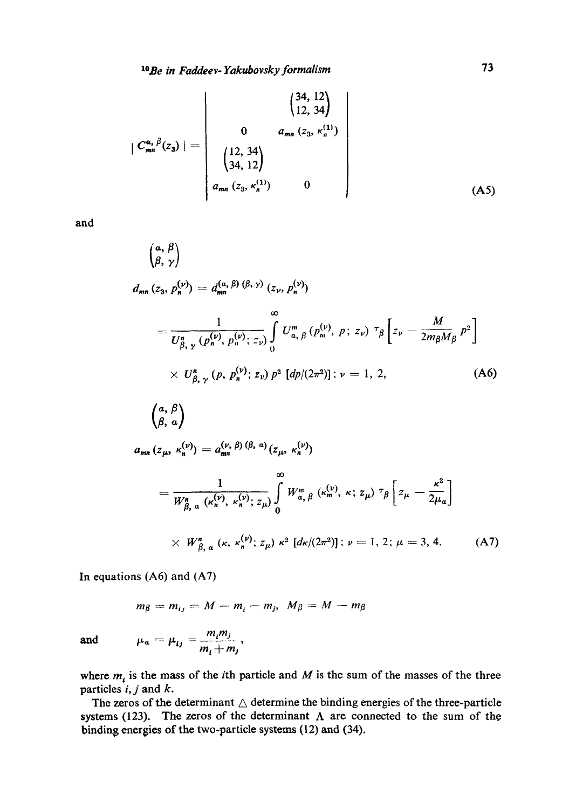$$
| C_{mn}^{a, \beta}(z_3) | = \begin{pmatrix} 34, 12 \\ 12, 34 \\ 0 & a_{mn}(z_3, \kappa_n^{(1)}) \\ 34, 12 \\ a_{mn}(z_3, \kappa_n^{(1)}) & 0 \end{pmatrix}
$$
 (A5)

and

$$
\begin{aligned}\n\left(\begin{matrix} a, \beta \\ \beta, \gamma \end{matrix}\right) \\
 d_{mn}(z_3, p_n^{(\nu)}) &= d_{mn}^{(a, \beta)}(\beta, \gamma) (z_{\nu}, p_n^{(\nu)}) \\
&= \frac{1}{U_{\beta, \gamma}^n (p_n^{(\nu)}, p_n^{(\nu)}; z_{\nu})} \int_0^\infty U_{\alpha, \beta}^m (p_n^{(\nu)}, p; z_{\nu}) \tau_{\beta} \left[ z_{\nu} - \frac{M}{2m_{\beta}M_{\beta}} p^2 \right] \\
&\times U_{\beta, \gamma}^n (p, p_n^{(\nu)}; z_{\nu}) p^2 [dp/(2\pi^2)]; \nu = 1, 2, \n\end{aligned}
$$
\n
$$
\begin{aligned}\n\left(\begin{matrix} a, \beta \\ \beta, a \end{matrix}\right) \\
a_{mn}(z_{\mu}, \kappa_n^{(\nu)}) &= a_{mn}^{(\nu, \beta)}(\beta, a) (z_{\mu}, \kappa_n^{(\nu)})\n\end{aligned}
$$
\n(46)

$$
= \frac{1}{W_{\beta,\,\alpha}^{\mathfrak{n}}\left(\kappa_n^{(\nu)},\,\kappa_n^{(\nu)};\,z_{\mu}\right)} \int\limits_{0}^{\infty} W_{\alpha,\,\beta}^{\mathfrak{m}}\left(\kappa_m^{(\nu)},\,\kappa;\,z_{\mu}\right)\tau_{\beta}\left[z_{\mu}-\frac{\kappa^2}{2\mu_{\alpha}}\right]
$$

$$
\times \ W_{\beta,\,\alpha}^{\mathfrak{n}}\left(\kappa,\,\kappa_n^{(\nu)};\,z_{\mu}\right)\kappa^2\left[ d\kappa/(2\pi^2)\right];\,\nu=1,\,2;\,\mu=3,\,4. \tag{A7}
$$

In equations (A6) and (A7)

$$
m_{\beta}=m_{ij}=M-m_i-m_j, M_{\beta}=M-m_{\beta}
$$

 $m_{\tilde{l}} + m_{\tilde{l}}$ 

and  $\mu_a = \mu_{ij} = \frac{m_i m_j}{2}$ 

where  $m_i$  is the mass of the *i*th particle and M is the sum of the masses of the three particles  $i, j$  and  $k$ .

The zeros of the determinant  $\triangle$  determine the binding energies of the three-particle systems (123). The zeros of the determinant  $\Lambda$  are connected to the sum of the binding energies of the two-particle systems (12) and (34).